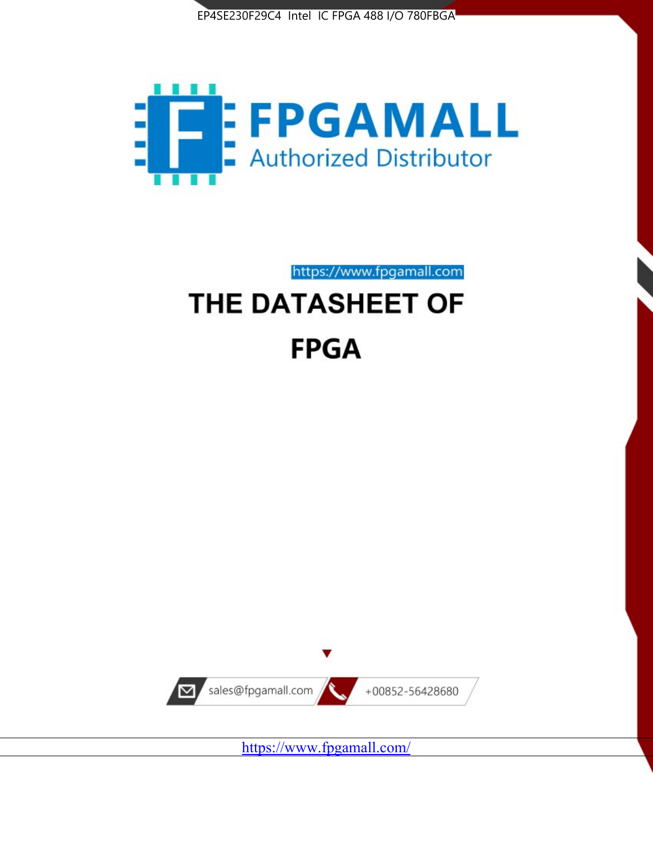



https://www.fpgamall.com

# THE DATASHEET OF **FPGA**



<https://www.fpgamall.com/>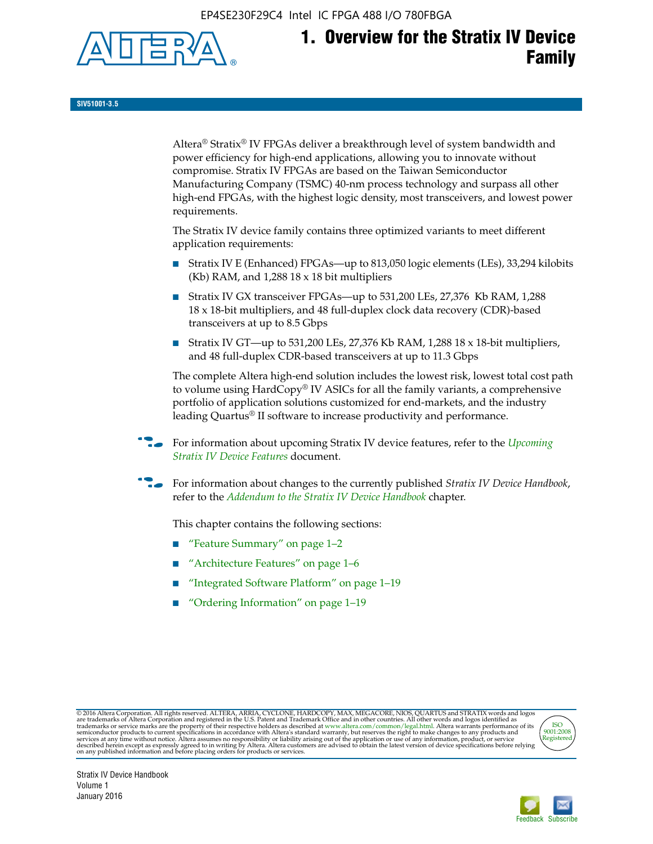EP4SE230F29C4 Intel IC FPGA 488 I/O 780FBGA



**SIV51001-3.5**

Altera® Stratix® IV FPGAs deliver a breakthrough level of system bandwidth and power efficiency for high-end applications, allowing you to innovate without compromise. Stratix IV FPGAs are based on the Taiwan Semiconductor Manufacturing Company (TSMC) 40-nm process technology and surpass all other high-end FPGAs, with the highest logic density, most transceivers, and lowest power requirements.

The Stratix IV device family contains three optimized variants to meet different application requirements:

- Stratix IV E (Enhanced) FPGAs—up to 813,050 logic elements (LEs), 33,294 kilobits (Kb) RAM, and 1,288 18 x 18 bit multipliers
- Stratix IV GX transceiver FPGAs—up to 531,200 LEs, 27,376 Kb RAM, 1,288 18 x 18-bit multipliers, and 48 full-duplex clock data recovery (CDR)-based transceivers at up to 8.5 Gbps
- Stratix IV GT—up to 531,200 LEs, 27,376 Kb RAM, 1,288 18 x 18-bit multipliers, and 48 full-duplex CDR-based transceivers at up to 11.3 Gbps

The complete Altera high-end solution includes the lowest risk, lowest total cost path to volume using HardCopy® IV ASICs for all the family variants, a comprehensive portfolio of application solutions customized for end-markets, and the industry leading Quartus® II software to increase productivity and performance.

f For information about upcoming Stratix IV device features, refer to the *[Upcoming](http://www.altera.com/literature/hb/stratix-iv/uf01001.pdf?GSA_pos=2&WT.oss_r=1&WT.oss=upcoming)  [Stratix IV Device Features](http://www.altera.com/literature/hb/stratix-iv/uf01001.pdf?GSA_pos=2&WT.oss_r=1&WT.oss=upcoming)* document.

f For information about changes to the currently published *Stratix IV Device Handbook*, refer to the *[Addendum to the Stratix IV Device Handbook](http://www.altera.com/literature/hb/stratix-iv/stx4_siv54002.pdf)* chapter.

This chapter contains the following sections:

- "Feature Summary" on page 1–2
- "Architecture Features" on page 1–6
- "Integrated Software Platform" on page 1–19
- "Ordering Information" on page 1–19

@2016 Altera Corporation. All rights reserved. ALTERA, ARRIA, CYCLONE, HARDCOPY, MAX, MEGACORE, NIOS, QUARTUS and STRATIX words and logos are trademarks of Altera Corporation and registered in the U.S. Patent and Trademark



Stratix IV Device Handbook Volume 1 January 2016

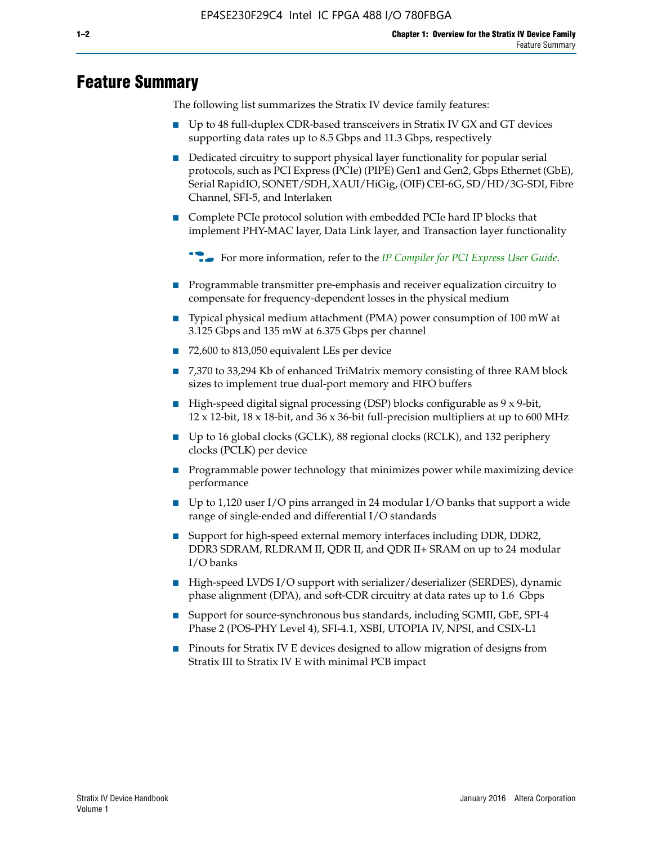# **Feature Summary**

The following list summarizes the Stratix IV device family features:

- Up to 48 full-duplex CDR-based transceivers in Stratix IV GX and GT devices supporting data rates up to 8.5 Gbps and 11.3 Gbps, respectively
- Dedicated circuitry to support physical layer functionality for popular serial protocols, such as PCI Express (PCIe) (PIPE) Gen1 and Gen2, Gbps Ethernet (GbE), Serial RapidIO, SONET/SDH, XAUI/HiGig, (OIF) CEI-6G, SD/HD/3G-SDI, Fibre Channel, SFI-5, and Interlaken
- Complete PCIe protocol solution with embedded PCIe hard IP blocks that implement PHY-MAC layer, Data Link layer, and Transaction layer functionality

**For more information, refer to the** *[IP Compiler for PCI Express User Guide](http://www.altera.com/literature/ug/ug_pci_express.pdf)***.** 

- Programmable transmitter pre-emphasis and receiver equalization circuitry to compensate for frequency-dependent losses in the physical medium
- Typical physical medium attachment (PMA) power consumption of 100 mW at 3.125 Gbps and 135 mW at 6.375 Gbps per channel
- 72,600 to 813,050 equivalent LEs per device
- 7,370 to 33,294 Kb of enhanced TriMatrix memory consisting of three RAM block sizes to implement true dual-port memory and FIFO buffers
- High-speed digital signal processing (DSP) blocks configurable as 9 x 9-bit,  $12 \times 12$ -bit,  $18 \times 18$ -bit, and  $36 \times 36$ -bit full-precision multipliers at up to 600 MHz
- Up to 16 global clocks (GCLK), 88 regional clocks (RCLK), and 132 periphery clocks (PCLK) per device
- Programmable power technology that minimizes power while maximizing device performance
- Up to 1,120 user I/O pins arranged in 24 modular I/O banks that support a wide range of single-ended and differential I/O standards
- Support for high-speed external memory interfaces including DDR, DDR2, DDR3 SDRAM, RLDRAM II, QDR II, and QDR II+ SRAM on up to 24 modular I/O banks
- High-speed LVDS I/O support with serializer/deserializer (SERDES), dynamic phase alignment (DPA), and soft-CDR circuitry at data rates up to 1.6 Gbps
- Support for source-synchronous bus standards, including SGMII, GbE, SPI-4 Phase 2 (POS-PHY Level 4), SFI-4.1, XSBI, UTOPIA IV, NPSI, and CSIX-L1
- Pinouts for Stratix IV E devices designed to allow migration of designs from Stratix III to Stratix IV E with minimal PCB impact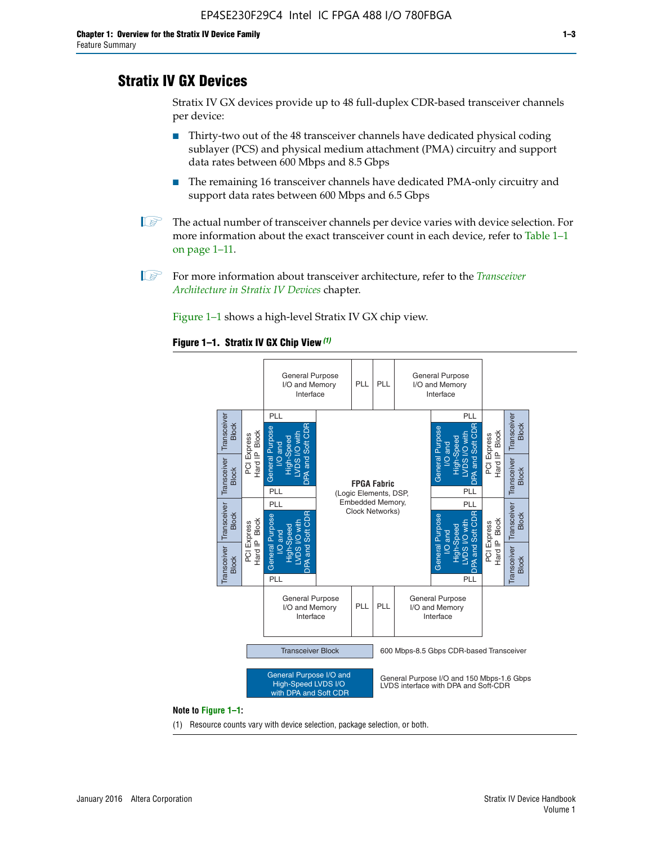# **Stratix IV GX Devices**

Stratix IV GX devices provide up to 48 full-duplex CDR-based transceiver channels per device:

- Thirty-two out of the 48 transceiver channels have dedicated physical coding sublayer (PCS) and physical medium attachment (PMA) circuitry and support data rates between 600 Mbps and 8.5 Gbps
- The remaining 16 transceiver channels have dedicated PMA-only circuitry and support data rates between 600 Mbps and 6.5 Gbps
- **1 The actual number of transceiver channels per device varies with device selection. For** more information about the exact transceiver count in each device, refer to Table 1–1 on page 1–11.
- 1 For more information about transceiver architecture, refer to the *[Transceiver](http://www.altera.com/literature/hb/stratix-iv/stx4_siv52001.pdf)  [Architecture in Stratix IV Devices](http://www.altera.com/literature/hb/stratix-iv/stx4_siv52001.pdf)* chapter.

Figure 1–1 shows a high-level Stratix IV GX chip view.

#### **Figure 1–1. Stratix IV GX Chip View** *(1)*



#### **Note to Figure 1–1:**

(1) Resource counts vary with device selection, package selection, or both.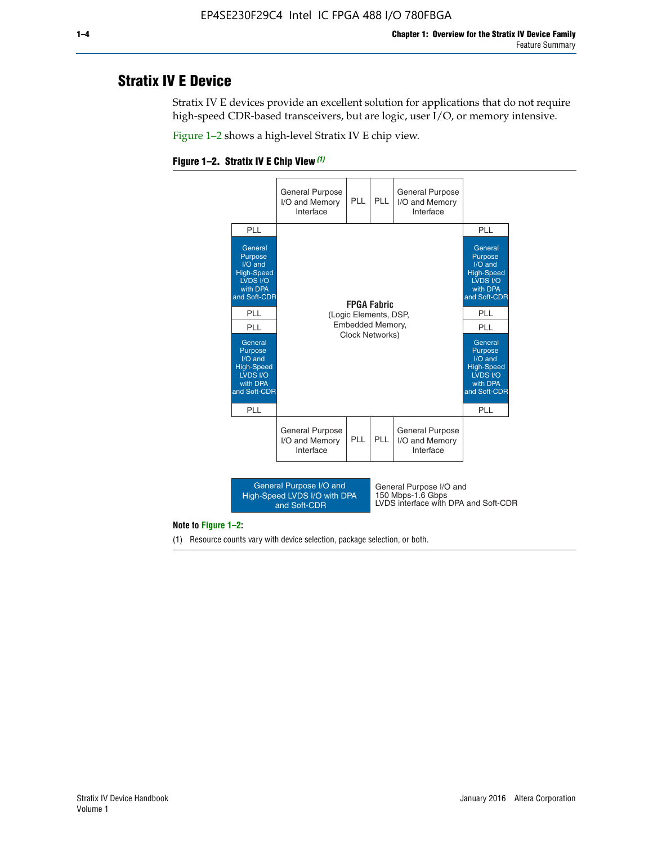# **Stratix IV E Device**

Stratix IV E devices provide an excellent solution for applications that do not require high-speed CDR-based transceivers, but are logic, user I/O, or memory intensive.

Figure 1–2 shows a high-level Stratix IV E chip view.





#### **Note to Figure 1–2:**

(1) Resource counts vary with device selection, package selection, or both.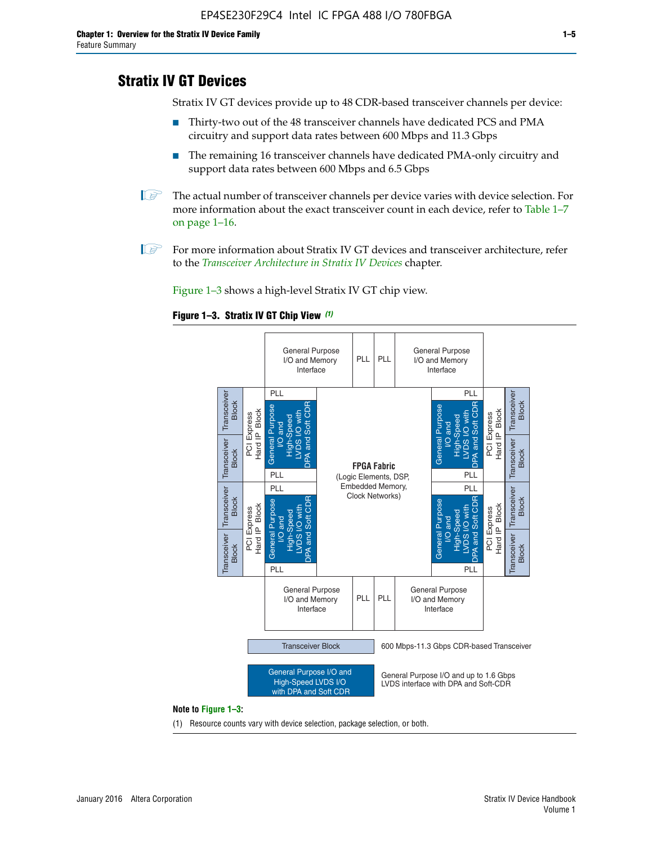# **Stratix IV GT Devices**

Stratix IV GT devices provide up to 48 CDR-based transceiver channels per device:

- Thirty-two out of the 48 transceiver channels have dedicated PCS and PMA circuitry and support data rates between 600 Mbps and 11.3 Gbps
- The remaining 16 transceiver channels have dedicated PMA-only circuitry and support data rates between 600 Mbps and 6.5 Gbps
- **1** The actual number of transceiver channels per device varies with device selection. For more information about the exact transceiver count in each device, refer to Table 1–7 on page 1–16.
- $\mathbb{I}$  For more information about Stratix IV GT devices and transceiver architecture, refer to the *[Transceiver Architecture in Stratix IV Devices](http://www.altera.com/literature/hb/stratix-iv/stx4_siv52001.pdf)* chapter.

Figure 1–3 shows a high-level Stratix IV GT chip view.

#### **Figure 1–3. Stratix IV GT Chip View** *(1)*



(1) Resource counts vary with device selection, package selection, or both.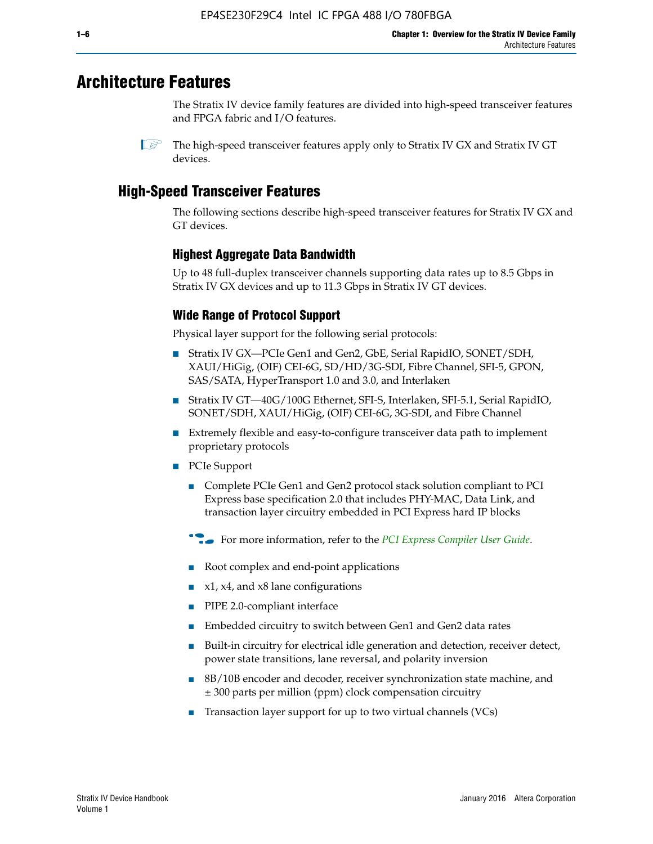# **Architecture Features**

The Stratix IV device family features are divided into high-speed transceiver features and FPGA fabric and I/O features.

 $\mathbb{I}$  The high-speed transceiver features apply only to Stratix IV GX and Stratix IV GT devices.

# **High-Speed Transceiver Features**

The following sections describe high-speed transceiver features for Stratix IV GX and GT devices.

## **Highest Aggregate Data Bandwidth**

Up to 48 full-duplex transceiver channels supporting data rates up to 8.5 Gbps in Stratix IV GX devices and up to 11.3 Gbps in Stratix IV GT devices.

## **Wide Range of Protocol Support**

Physical layer support for the following serial protocols:

- Stratix IV GX—PCIe Gen1 and Gen2, GbE, Serial RapidIO, SONET/SDH, XAUI/HiGig, (OIF) CEI-6G, SD/HD/3G-SDI, Fibre Channel, SFI-5, GPON, SAS/SATA, HyperTransport 1.0 and 3.0, and Interlaken
- Stratix IV GT—40G/100G Ethernet, SFI-S, Interlaken, SFI-5.1, Serial RapidIO, SONET/SDH, XAUI/HiGig, (OIF) CEI-6G, 3G-SDI, and Fibre Channel
- Extremely flexible and easy-to-configure transceiver data path to implement proprietary protocols
- PCIe Support
	- Complete PCIe Gen1 and Gen2 protocol stack solution compliant to PCI Express base specification 2.0 that includes PHY-MAC, Data Link, and transaction layer circuitry embedded in PCI Express hard IP blocks
	- **For more information, refer to the [PCI Express Compiler User Guide](http://www.altera.com/literature/ug/ug_pci_express.pdf).**
	- Root complex and end-point applications
	- $x1, x4,$  and  $x8$  lane configurations
	- PIPE 2.0-compliant interface
	- Embedded circuitry to switch between Gen1 and Gen2 data rates
	- Built-in circuitry for electrical idle generation and detection, receiver detect, power state transitions, lane reversal, and polarity inversion
	- 8B/10B encoder and decoder, receiver synchronization state machine, and ± 300 parts per million (ppm) clock compensation circuitry
	- Transaction layer support for up to two virtual channels (VCs)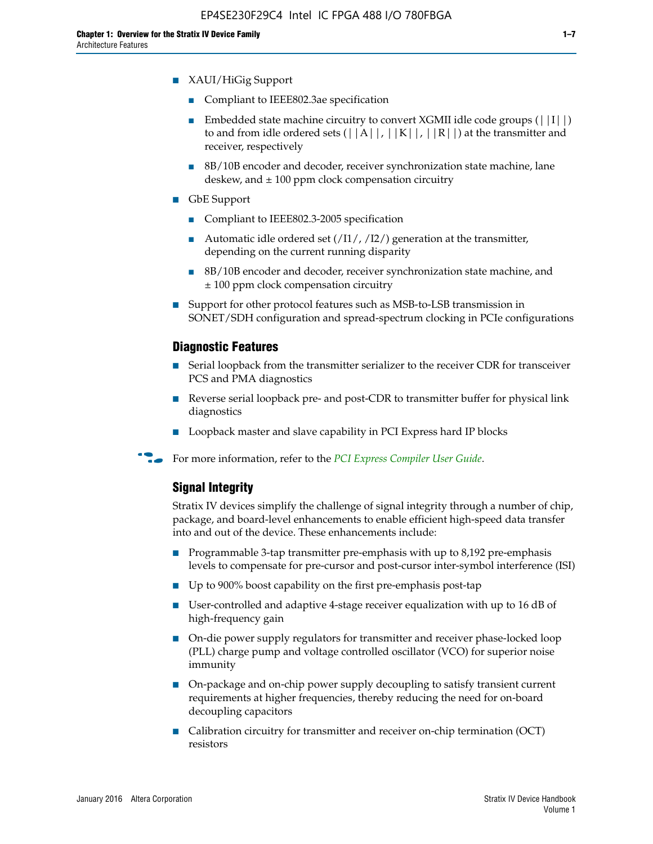- XAUI/HiGig Support
	- Compliant to IEEE802.3ae specification
	- **■** Embedded state machine circuitry to convert XGMII idle code groups  $(|11|)$ to and from idle ordered sets  $(|A|, |K|, |R|)$  at the transmitter and receiver, respectively
	- 8B/10B encoder and decoder, receiver synchronization state machine, lane deskew, and  $\pm 100$  ppm clock compensation circuitry
- GbE Support
	- Compliant to IEEE802.3-2005 specification
	- Automatic idle ordered set  $(111/112/1)$  generation at the transmitter, depending on the current running disparity
	- 8B/10B encoder and decoder, receiver synchronization state machine, and ± 100 ppm clock compensation circuitry
- Support for other protocol features such as MSB-to-LSB transmission in SONET/SDH configuration and spread-spectrum clocking in PCIe configurations

#### **Diagnostic Features**

- Serial loopback from the transmitter serializer to the receiver CDR for transceiver PCS and PMA diagnostics
- Reverse serial loopback pre- and post-CDR to transmitter buffer for physical link diagnostics
- Loopback master and slave capability in PCI Express hard IP blocks
- **For more information, refer to the** *[PCI Express Compiler User Guide](http://www.altera.com/literature/ug/ug_pci_express.pdf)***.**

## **Signal Integrity**

Stratix IV devices simplify the challenge of signal integrity through a number of chip, package, and board-level enhancements to enable efficient high-speed data transfer into and out of the device. These enhancements include:

- Programmable 3-tap transmitter pre-emphasis with up to 8,192 pre-emphasis levels to compensate for pre-cursor and post-cursor inter-symbol interference (ISI)
- Up to 900% boost capability on the first pre-emphasis post-tap
- User-controlled and adaptive 4-stage receiver equalization with up to 16 dB of high-frequency gain
- On-die power supply regulators for transmitter and receiver phase-locked loop (PLL) charge pump and voltage controlled oscillator (VCO) for superior noise immunity
- On-package and on-chip power supply decoupling to satisfy transient current requirements at higher frequencies, thereby reducing the need for on-board decoupling capacitors
- Calibration circuitry for transmitter and receiver on-chip termination (OCT) resistors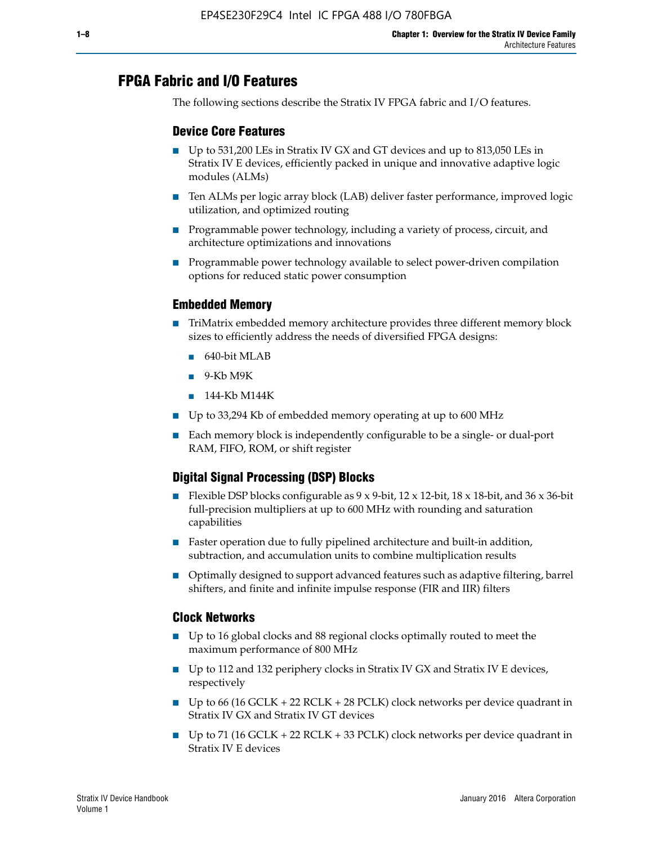# **FPGA Fabric and I/O Features**

The following sections describe the Stratix IV FPGA fabric and I/O features.

## **Device Core Features**

- Up to 531,200 LEs in Stratix IV GX and GT devices and up to 813,050 LEs in Stratix IV E devices, efficiently packed in unique and innovative adaptive logic modules (ALMs)
- Ten ALMs per logic array block (LAB) deliver faster performance, improved logic utilization, and optimized routing
- Programmable power technology, including a variety of process, circuit, and architecture optimizations and innovations
- Programmable power technology available to select power-driven compilation options for reduced static power consumption

## **Embedded Memory**

- TriMatrix embedded memory architecture provides three different memory block sizes to efficiently address the needs of diversified FPGA designs:
	- 640-bit MLAB
	- 9-Kb M9K
	- 144-Kb M144K
- Up to 33,294 Kb of embedded memory operating at up to 600 MHz
- Each memory block is independently configurable to be a single- or dual-port RAM, FIFO, ROM, or shift register

## **Digital Signal Processing (DSP) Blocks**

- Flexible DSP blocks configurable as  $9 \times 9$ -bit,  $12 \times 12$ -bit,  $18 \times 18$ -bit, and  $36 \times 36$ -bit full-precision multipliers at up to 600 MHz with rounding and saturation capabilities
- Faster operation due to fully pipelined architecture and built-in addition, subtraction, and accumulation units to combine multiplication results
- Optimally designed to support advanced features such as adaptive filtering, barrel shifters, and finite and infinite impulse response (FIR and IIR) filters

### **Clock Networks**

- Up to 16 global clocks and 88 regional clocks optimally routed to meet the maximum performance of 800 MHz
- Up to 112 and 132 periphery clocks in Stratix IV GX and Stratix IV E devices, respectively
- Up to 66 (16 GCLK + 22 RCLK + 28 PCLK) clock networks per device quadrant in Stratix IV GX and Stratix IV GT devices
- Up to 71 (16 GCLK + 22 RCLK + 33 PCLK) clock networks per device quadrant in Stratix IV E devices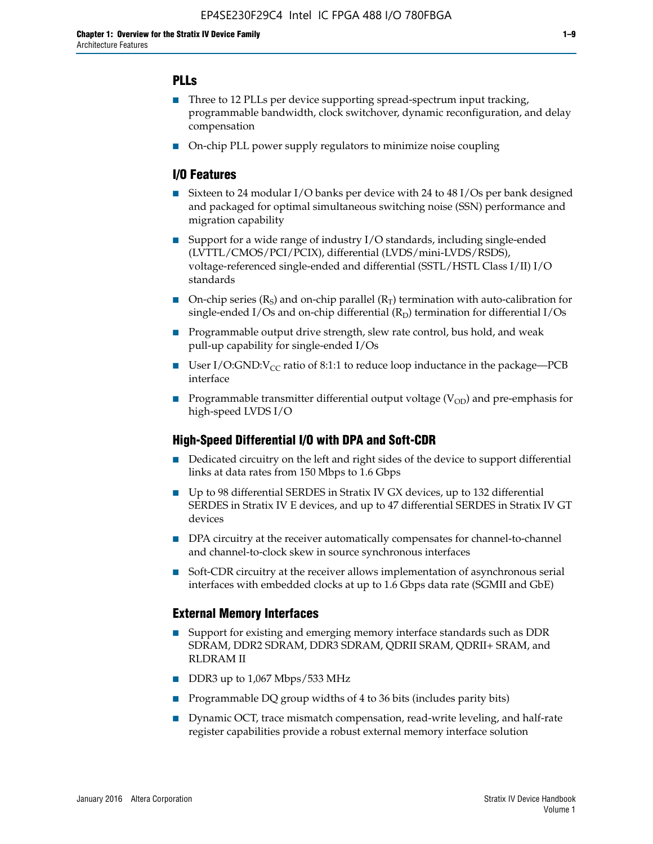## **PLLs**

- Three to 12 PLLs per device supporting spread-spectrum input tracking, programmable bandwidth, clock switchover, dynamic reconfiguration, and delay compensation
- On-chip PLL power supply regulators to minimize noise coupling

## **I/O Features**

- Sixteen to 24 modular I/O banks per device with 24 to 48 I/Os per bank designed and packaged for optimal simultaneous switching noise (SSN) performance and migration capability
- Support for a wide range of industry I/O standards, including single-ended (LVTTL/CMOS/PCI/PCIX), differential (LVDS/mini-LVDS/RSDS), voltage-referenced single-ended and differential (SSTL/HSTL Class I/II) I/O standards
- **O**n-chip series  $(R_S)$  and on-chip parallel  $(R_T)$  termination with auto-calibration for single-ended I/Os and on-chip differential  $(R_D)$  termination for differential I/Os
- Programmable output drive strength, slew rate control, bus hold, and weak pull-up capability for single-ended I/Os
- User I/O:GND: $V_{CC}$  ratio of 8:1:1 to reduce loop inductance in the package—PCB interface
- **■** Programmable transmitter differential output voltage ( $V_{OD}$ ) and pre-emphasis for high-speed LVDS I/O

### **High-Speed Differential I/O with DPA and Soft-CDR**

- Dedicated circuitry on the left and right sides of the device to support differential links at data rates from 150 Mbps to 1.6 Gbps
- Up to 98 differential SERDES in Stratix IV GX devices, up to 132 differential SERDES in Stratix IV E devices, and up to 47 differential SERDES in Stratix IV GT devices
- DPA circuitry at the receiver automatically compensates for channel-to-channel and channel-to-clock skew in source synchronous interfaces
- Soft-CDR circuitry at the receiver allows implementation of asynchronous serial interfaces with embedded clocks at up to 1.6 Gbps data rate (SGMII and GbE)

### **External Memory Interfaces**

- Support for existing and emerging memory interface standards such as DDR SDRAM, DDR2 SDRAM, DDR3 SDRAM, QDRII SRAM, QDRII+ SRAM, and RLDRAM II
- DDR3 up to 1,067 Mbps/533 MHz
- Programmable DQ group widths of 4 to 36 bits (includes parity bits)
- Dynamic OCT, trace mismatch compensation, read-write leveling, and half-rate register capabilities provide a robust external memory interface solution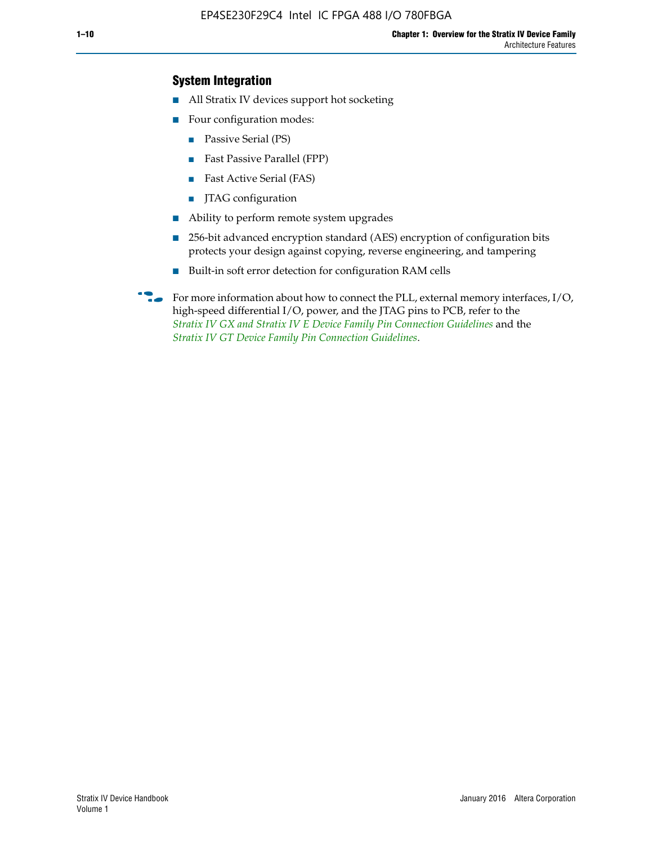## **System Integration**

- All Stratix IV devices support hot socketing
- Four configuration modes:
	- Passive Serial (PS)
	- Fast Passive Parallel (FPP)
	- Fast Active Serial (FAS)
	- JTAG configuration
- Ability to perform remote system upgrades
- 256-bit advanced encryption standard (AES) encryption of configuration bits protects your design against copying, reverse engineering, and tampering
- Built-in soft error detection for configuration RAM cells
- For more information about how to connect the PLL, external memory interfaces,  $I/O$ , high-speed differential I/O, power, and the JTAG pins to PCB, refer to the *[Stratix IV GX and Stratix IV E Device Family Pin Connection Guidelines](http://www.altera.com/literature/dp/stratix4/PCG-01005.pdf)* and the *[Stratix IV GT Device Family Pin Connection Guidelines](http://www.altera.com/literature/dp/stratix4/PCG-01006.pdf)*.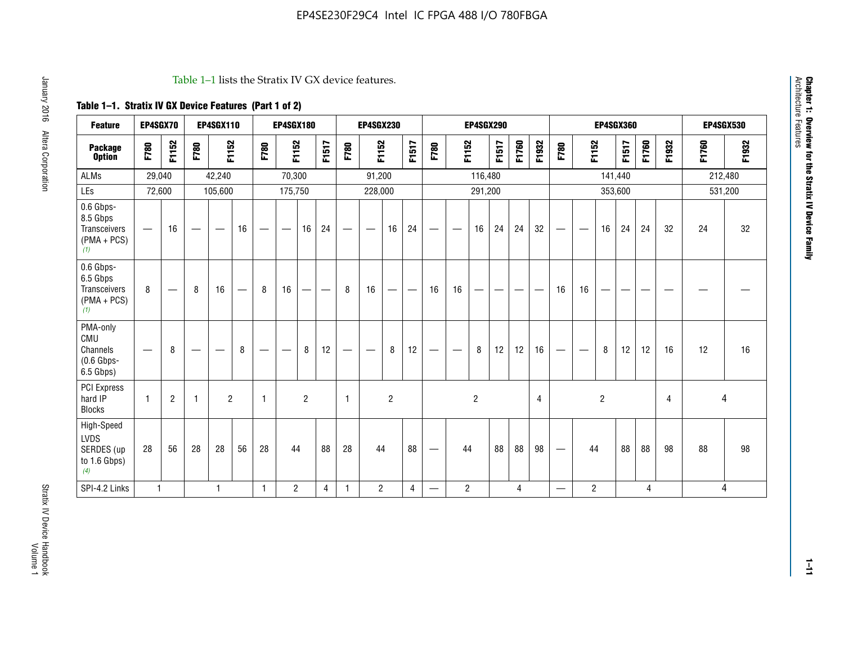#### Table 1–1 lists the Stratix IV GX device features.

## **Table 1–1. Stratix IV GX Device Features (Part 1 of 2)**

| <b>Feature</b>                                                | EP4SGX70                       |                |                   | <b>EP4SGX110</b>  |                          |                                | <b>EP4SGX180</b>               |                |       |              | <b>EP4SGX230</b><br><b>EP4SGX290</b> |                |                               | <b>EP4SGX360</b>               |                |                |       |       |       |                          | <b>EP4SGX530</b>  |                |         |       |       |       |         |
|---------------------------------------------------------------|--------------------------------|----------------|-------------------|-------------------|--------------------------|--------------------------------|--------------------------------|----------------|-------|--------------|--------------------------------------|----------------|-------------------------------|--------------------------------|----------------|----------------|-------|-------|-------|--------------------------|-------------------|----------------|---------|-------|-------|-------|---------|
| <b>Package</b><br><b>Option</b>                               | F780                           | F1152          | F780              | F1152             |                          | F780                           | F1152                          |                | F1517 | F780         | F1152                                |                | F1517                         | F780                           | F1152          |                | F1517 | F1760 | F1932 | F780                     | F1152             |                | F1517   | F1760 | F1932 | F1760 | F1932   |
| <b>ALMs</b>                                                   | 29,040                         |                |                   | 42,240            |                          |                                | 70,300                         |                |       |              | 91,200                               |                |                               |                                |                | 116,480        |       |       |       |                          |                   |                | 141,440 |       |       |       | 212,480 |
| LEs                                                           | 72,600                         |                |                   | 105,600           |                          |                                | 175,750                        |                |       |              | 228,000                              |                |                               |                                |                | 291,200        |       |       |       |                          |                   | 353,600        |         |       |       |       | 531,200 |
| 0.6 Gbps-<br>8.5 Gbps<br>Transceivers<br>$(PMA + PCs)$<br>(1) |                                | 16             | $\hspace{0.05cm}$ | $\hspace{0.05cm}$ | 16                       | $\qquad \qquad \longleftarrow$ | $\hspace{0.05cm}$              | 16             | 24    |              | $\overbrace{\phantom{aaaaa}}$        | 16             | 24                            | —                              |                | 16             | 24    | 24    | 32    | $\overline{\phantom{0}}$ | $\hspace{0.05cm}$ | 16             | 24      | 24    | 32    | 24    | 32      |
| 0.6 Gbps-<br>6.5 Gbps<br>Transceivers<br>$(PMA + PCS)$<br>(1) | 8                              |                | 8                 | 16                | $\overline{\phantom{0}}$ | 8                              | 16                             | -              | —     | 8            | 16                                   | —              | $\overbrace{\phantom{aaaaa}}$ | 16                             | 16             |                |       |       |       | 16                       | 16                |                |         |       |       |       |         |
| PMA-only<br>CMU<br>Channels<br>$(0.6$ Gbps-<br>6.5 Gbps)      | $\qquad \qquad \longleftarrow$ | 8              | $\hspace{0.05cm}$ |                   | 8                        | $\qquad \qquad \longleftarrow$ | $\qquad \qquad \longleftarrow$ | 8              | 12    | -            | $\overline{\phantom{a}}$             | 8              | 12                            | $\qquad \qquad \longleftarrow$ |                | 8              | 12    | 12    | 16    |                          | $\hspace{0.05cm}$ | 8              | 12      | 12    | 16    | 12    | 16      |
| <b>PCI Express</b><br>hard IP<br><b>Blocks</b>                | $\mathbf{1}$                   | $\overline{2}$ | -1                | $\overline{2}$    |                          | 1                              |                                | $\overline{2}$ |       | $\mathbf{1}$ |                                      | $\overline{c}$ |                               |                                |                | $\overline{c}$ |       |       | 4     |                          |                   | $\overline{2}$ |         |       | 4     |       | 4       |
| High-Speed<br>LVDS<br>SERDES (up<br>to 1.6 Gbps)<br>(4)       | 28                             | 56             | 28                | 28                | 56                       | 28                             | 44                             |                | 88    | 28           | 44                                   |                | 88                            | —                              | 44             |                | 88    | 88    | 98    |                          | 44                |                | 88      | 88    | 98    | 88    | 98      |
| SPI-4.2 Links                                                 | $\mathbf{1}$                   |                |                   | 1                 |                          | $\mathbf{1}$                   | $\overline{c}$                 |                | 4     | $\mathbf{1}$ | $\overline{c}$                       |                | $\overline{4}$                | —                              | $\overline{2}$ |                |       | 4     |       | $\overline{\phantom{0}}$ | $\overline{2}$    |                |         | 4     |       |       | 4       |

Architecture Features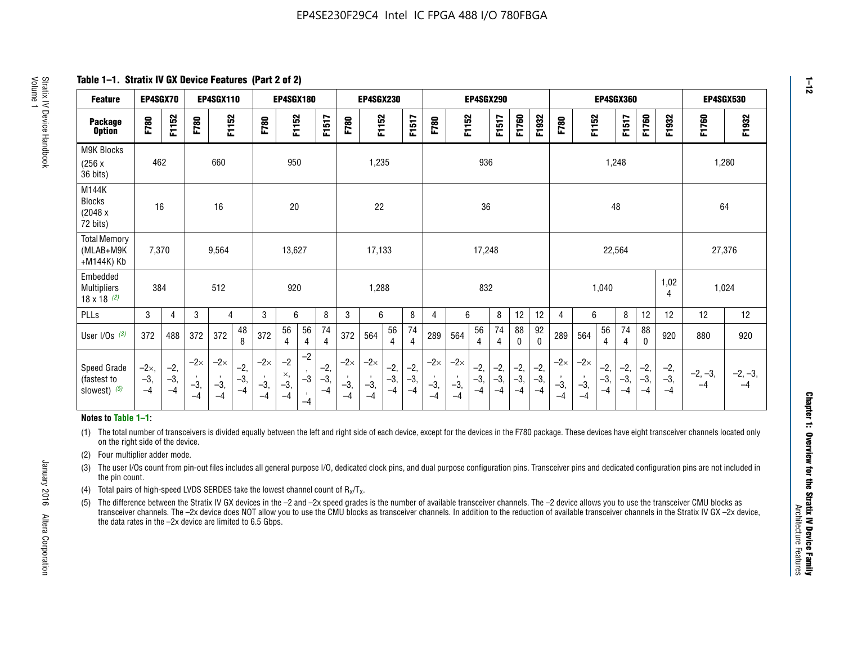**Table 1–1. Stratix IV GX Device Features (Part 2 of 2)**

| <b>Feature</b>                                       | EP4SGX70                |                        |                             | <b>EP4SGX110</b>            |                        |                             | <b>EP4SGX180</b>            |                                 |                        |                             | <b>EP4SGX230</b>            |                      |                        |                             |                            | <b>EP4SGX290</b><br><b>EP4SGX360</b> |                      |                        |                        |                             | <b>EP4SGX530</b>            |                        |                      |                        |                        |                   |                   |
|------------------------------------------------------|-------------------------|------------------------|-----------------------------|-----------------------------|------------------------|-----------------------------|-----------------------------|---------------------------------|------------------------|-----------------------------|-----------------------------|----------------------|------------------------|-----------------------------|----------------------------|--------------------------------------|----------------------|------------------------|------------------------|-----------------------------|-----------------------------|------------------------|----------------------|------------------------|------------------------|-------------------|-------------------|
| <b>Package</b><br><b>Option</b>                      | F780                    | F1152                  | F780                        | F1152                       |                        | F780                        | F1152                       |                                 | F1517                  | F780                        | F1152                       |                      | F1517                  | F780                        | F1152                      |                                      | F1517                | F1760                  | F1932                  | F780                        | F1152                       |                        | F1517                | F1760                  | F1932                  | F1760             | F1932             |
| M9K Blocks<br>(256x)<br>36 bits)                     | 462                     |                        |                             | 660                         |                        |                             | 950                         |                                 |                        |                             | 1,235                       |                      |                        |                             |                            | 936                                  |                      |                        |                        |                             |                             | 1,248                  |                      |                        |                        | 1,280             |                   |
| M144K<br><b>Blocks</b><br>(2048 x<br>72 bits)        | 16                      |                        |                             | 16                          |                        |                             | 20                          |                                 |                        |                             | 22                          |                      |                        |                             |                            | 36                                   |                      |                        |                        |                             |                             | 48                     |                      |                        |                        | 64                |                   |
| <b>Total Memory</b><br>(MLAB+M9K<br>+M144K) Kb       | 7,370                   |                        |                             | 9,564                       |                        |                             | 13,627                      |                                 |                        |                             | 17,133                      |                      |                        |                             |                            | 17,248                               |                      |                        |                        |                             |                             | 22,564                 |                      |                        |                        | 27,376            |                   |
| Embedded<br><b>Multipliers</b><br>$18 \times 18$ (2) | 384                     |                        |                             | 512                         |                        |                             | 920                         |                                 |                        |                             | 1,288                       |                      |                        |                             |                            | 832                                  |                      |                        |                        |                             |                             | 1,040                  |                      |                        | 1,02<br>4              | 1,024             |                   |
| PLLs                                                 | 3                       | $\overline{4}$         | 3                           | 4                           |                        | 3                           | 6                           |                                 | 8                      | 3                           | 6                           |                      | 8                      | $\overline{4}$              | 6                          |                                      | 8                    | 12                     | 12                     | 4                           | 6                           |                        | 8                    | 12                     | 12                     | 12                | 12                |
| User $I/Os$ (3)                                      | 372                     | 488                    | 372                         | 372                         | 48<br>8                | 372                         | 56<br>4                     | 56<br>4                         | 74<br>4                | 372                         | 564                         | 56<br>4              | 74<br>$\overline{4}$   | 289                         | 564                        | 56<br>4                              | 74<br>4              | 88<br>0                | 92<br>0                | 289                         | 564                         | 56<br>4                | 74<br>4              | 88<br>0                | 920                    | 880               | 920               |
| Speed Grade<br>(fastest to<br>slowest) (5)           | $-2x,$<br>$-3,$<br>$-4$ | $-2,$<br>$-3,$<br>$-4$ | $-2\times$<br>$-3,$<br>$-4$ | $-2\times$<br>$-3,$<br>$-4$ | $-2,$<br>$-3,$<br>$-4$ | $-2\times$<br>$-3,$<br>$-4$ | $-2$<br>×,<br>$-3,$<br>$-4$ | $-2$<br>$\cdot$<br>$-3$<br>$-4$ | $-2,$<br>$-3,$<br>$-4$ | $-2\times$<br>$-3,$<br>$-4$ | $-2\times$<br>$-3,$<br>$-4$ | $-2,$<br>-3,<br>$-4$ | $-2,$<br>$-3,$<br>$-4$ | $-2\times$<br>$-3,$<br>$-4$ | $-2\times$<br>$-3$<br>$-4$ | $-2,$<br>$-3,$<br>$-4$               | $-2,$<br>-3,<br>$-4$ | $-2,$<br>$-3,$<br>$-4$ | $-2,$<br>$-3,$<br>$-4$ | $-2\times$<br>$-3,$<br>$-4$ | $-2\times$<br>$-3,$<br>$-4$ | $-2,$<br>$-3,$<br>$-4$ | $-2,$<br>-3,<br>$-4$ | $-2,$<br>$-3,$<br>$-4$ | $-2,$<br>$-3,$<br>$-4$ | $-2, -3,$<br>$-4$ | $-2, -3,$<br>$-4$ |

#### **Notes to Table 1–1:**

(1) The total number of transceivers is divided equally between the left and right side of each device, except for the devices in the F780 package. These devices have eight transceiver channels located only on the right side of the device.

- (2) Four multiplier adder mode.
- (3) The user I/Os count from pin-out files includes all general purpose I/O, dedicated clock pins, and dual purpose configuration pins. Transceiver pins and dedicated configuration pins are not included in the pin count.
- (4) Total pairs of high-speed LVDS SERDES take the lowest channel count of  $R_X/T_X$ .
- (5) The difference between the Stratix IV GX devices in the –2 and –2x speed grades is the number of available transceiver channels. The –2 device allows you to use the transceiver CMU blocks as transceiver channels. The –2x device does NOT allow you to use the CMU blocks as transceiver channels. In addition to the reduction of available transceiver channels in the Stratix IV GX –2x device, the data rates in the –2x device are limited to 6.5 Gbps.

January 2016 Altera Corporation

Altera Corporation

January 2016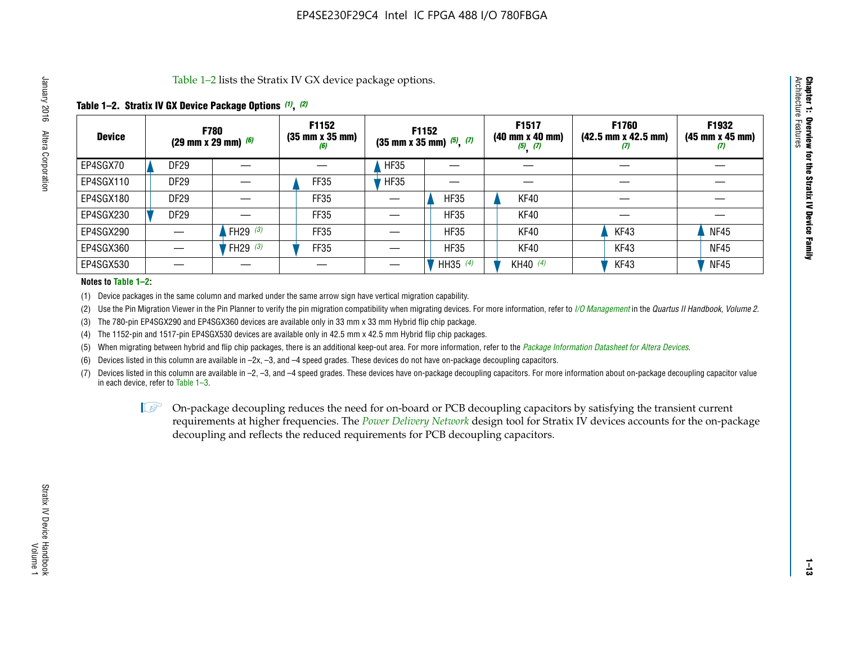Table 1–2 lists the Stratix IV GX device package options.

### **Table 1–2. Stratix IV GX Device Package Options** *(1)***,** *(2)*

| <b>Device</b> | (29 mm x 29 mm) $(6)$ | <b>F780</b>          | F1152<br>$(35 \, \text{mm} \times 35 \, \text{mm})$<br>(6) |             | <b>F1152</b><br>$(35$ mm x 35 mm) $(5)$ , $(7)$ | F1517<br>(40 mm x 40 mm)<br>$(5)$ $(7)$ | <b>F1760</b><br>$(42.5 \text{ mm} \times 42.5 \text{ mm})$<br>W | F1932<br>$(45 \, \text{mm} \times 45 \, \text{mm})$<br>$\boldsymbol{v}$ |
|---------------|-----------------------|----------------------|------------------------------------------------------------|-------------|-------------------------------------------------|-----------------------------------------|-----------------------------------------------------------------|-------------------------------------------------------------------------|
| EP4SGX70      | DF <sub>29</sub>      |                      |                                                            | <b>HF35</b> |                                                 |                                         |                                                                 |                                                                         |
| EP4SGX110     | <b>DF29</b>           |                      | FF35                                                       | <b>HF35</b> |                                                 |                                         |                                                                 |                                                                         |
| EP4SGX180     | DF29                  |                      | FF35                                                       |             | <b>HF35</b>                                     | KF40                                    |                                                                 |                                                                         |
| EP4SGX230     | <b>DF29</b>           |                      | FF35                                                       |             | <b>HF35</b>                                     | KF40                                    |                                                                 |                                                                         |
| EP4SGX290     |                       | FH29 $(3)$           | FF35                                                       |             | <b>HF35</b>                                     | KF40                                    | KF43                                                            | <b>NF45</b>                                                             |
| EP4SGX360     |                       | 'FH29 <sup>(3)</sup> | FF35                                                       |             | <b>HF35</b>                                     | KF40                                    | KF43                                                            | <b>NF45</b>                                                             |
| EP4SGX530     |                       |                      |                                                            |             | HH35 $(4)$                                      | KH40 (4)                                | KF43                                                            | <b>NF45</b>                                                             |

#### **Notes to Table 1–2:**

(1) Device packages in the same column and marked under the same arrow sign have vertical migration capability.

(2) Use the Pin Migration Viewer in the Pin Planner to verify the pin migration compatibility when migrating devices. For more information, refer to *[I/O Management](http://www.altera.com/literature/hb/qts/qts_qii52013.pdf)* in the *Quartus II Handbook, Volume 2*.

(3) The 780-pin EP4SGX290 and EP4SGX360 devices are available only in 33 mm x 33 mm Hybrid flip chip package.

(4) The 1152-pin and 1517-pin EP4SGX530 devices are available only in 42.5 mm x 42.5 mm Hybrid flip chip packages.

(5) When migrating between hybrid and flip chip packages, there is an additional keep-out area. For more information, refer to the *[Package Information Datasheet for Altera Devices](http://www.altera.com/literature/ds/dspkg.pdf)*.

(6) Devices listed in this column are available in –2x, –3, and –4 speed grades. These devices do not have on-package decoupling capacitors.

(7) Devices listed in this column are available in –2, –3, and –4 speed grades. These devices have on-package decoupling capacitors. For more information about on-package decoupling capacitor value in each device, refer to Table 1–3.

 $\mathbb{L}$ s On-package decoupling reduces the need for on-board or PCB decoupling capacitors by satisfying the transient current requirements at higher frequencies. The *[Power Delivery Network](http://www.altera.com/literature/ug/pdn_tool_stxiv.zip)* design tool for Stratix IV devices accounts for the on-package decoupling and reflects the reduced requirements for PCB decoupling capacitors.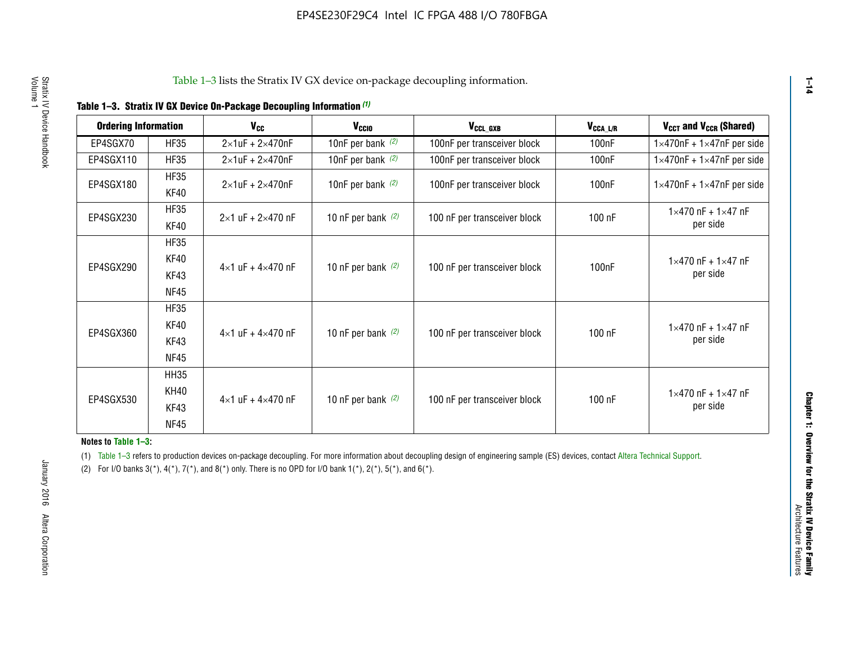|  | Table 1-3. Stratix IV GX Device On-Package Decoupling Information (1) |  |  |
|--|-----------------------------------------------------------------------|--|--|
|--|-----------------------------------------------------------------------|--|--|

| <b>Ordering Information</b> |                     | $V_{cc}$                            | V <sub>CCIO</sub>    | V <sub>CCL_GXB</sub>         | $V_{\texttt{CCA}\_\textsf{L/R}}$ | V <sub>CCT</sub> and V <sub>CCR</sub> (Shared)   |
|-----------------------------|---------------------|-------------------------------------|----------------------|------------------------------|----------------------------------|--------------------------------------------------|
| EP4SGX70                    | <b>HF35</b>         | $2\times1$ uF + $2\times470$ nF     | 10nF per bank $(2)$  | 100nF per transceiver block  | 100 <sub>n</sub> F               | $1\times470$ nF + $1\times47$ nF per side        |
| EP4SGX110                   | <b>HF35</b>         | $2\times1$ uF + $2\times470$ nF     | 10nF per bank $(2)$  | 100nF per transceiver block  | 100 <sub>n</sub> F               | $1\times470$ nF + $1\times47$ nF per side        |
| EP4SGX180                   | <b>HF35</b><br>KF40 | $2\times1$ uF + $2\times470$ nF     | 10nF per bank $(2)$  | 100nF per transceiver block  | 100 <sub>n</sub> F               | $1\times470$ nF + $1\times47$ nF per side        |
| EP4SGX230                   | <b>HF35</b><br>KF40 | $2 \times 1$ uF + $2 \times 470$ nF | 10 nF per bank $(2)$ | 100 nF per transceiver block | 100 nF                           | $1 \times 470$ nF + $1 \times 47$ nF<br>per side |
|                             | <b>HF35</b>         |                                     |                      |                              |                                  |                                                  |
| EP4SGX290                   | KF40<br>KF43        | $4\times1$ uF + $4\times470$ nF     | 10 nF per bank $(2)$ | 100 nF per transceiver block | 100 <sub>n</sub> F               | $1 \times 470$ nF + $1 \times 47$ nF<br>per side |
|                             | <b>NF45</b>         |                                     |                      |                              |                                  |                                                  |
|                             | <b>HF35</b>         |                                     |                      |                              |                                  |                                                  |
| EP4SGX360                   | KF40                | $4 \times 1$ uF + $4 \times 470$ nF | 10 nF per bank $(2)$ | 100 nF per transceiver block | 100 nF                           | $1 \times 470$ nF + $1 \times 47$ nF             |
|                             | KF43                |                                     |                      |                              |                                  | per side                                         |
|                             | <b>NF45</b>         |                                     |                      |                              |                                  |                                                  |
|                             | <b>HH35</b>         |                                     |                      |                              |                                  |                                                  |
|                             | KH40                |                                     |                      |                              |                                  | $1 \times 470$ nF + $1 \times 47$ nF             |
| EP4SGX530                   | KF43                | $4\times1$ uF + $4\times470$ nF     | 10 nF per bank $(2)$ | 100 nF per transceiver block | 100 nF                           | per side                                         |
|                             | <b>NF45</b>         |                                     |                      |                              |                                  |                                                  |

**Notes to Table 1–3:**

(1) Table 1-3 refers to production devices on-package decoupling. For more information about decoupling design of engineering sample (ES) devices, contact [Altera Technical Support](http://mysupport.altera.com/eservice/login.asp).

(2) For I/O banks  $3(*)$ ,  $4(*)$ ,  $7(*)$ , and  $8(*)$  only. There is no OPD for I/O bank  $1(*)$ ,  $2(*)$ ,  $5(*)$ , and  $6(*)$ .

**1–14**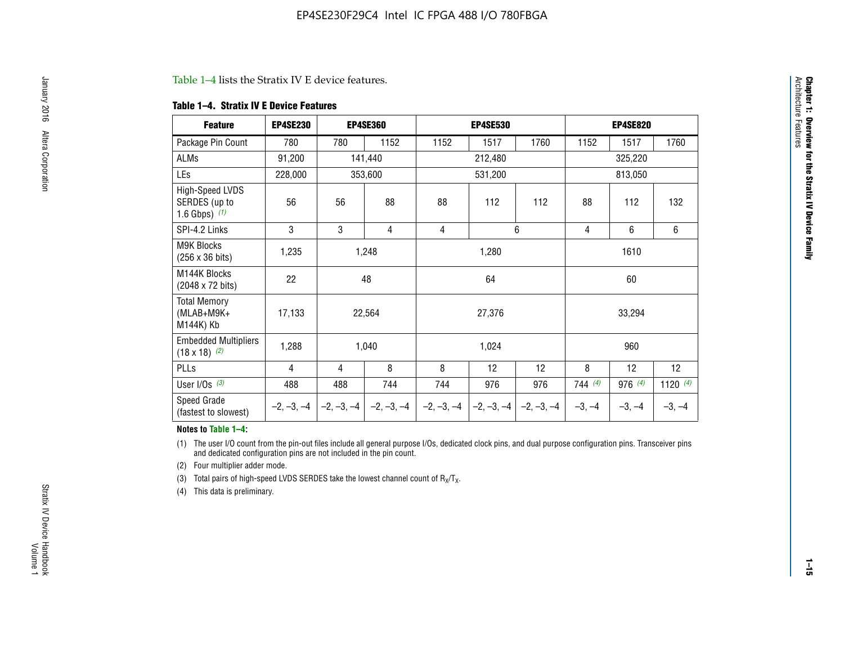#### Table 1–4 lists the Stratix IV E device features.

#### **Table 1–4. Stratix IV E Device Features**

| <b>Feature</b>                                      | <b>EP4SE230</b> |     | <b>EP4SE360</b>                          |        | <b>EP4SE530</b>              |              | <b>EP4SE820</b> |          |                 |  |
|-----------------------------------------------------|-----------------|-----|------------------------------------------|--------|------------------------------|--------------|-----------------|----------|-----------------|--|
| Package Pin Count                                   | 780             | 780 | 1152                                     | 1152   | 1517                         | 1760         | 1152            | 1517     | 1760            |  |
| ALMs                                                | 91,200          |     | 141,440                                  |        | 212,480                      |              | 325,220         |          |                 |  |
| LEs                                                 | 228,000         |     | 353,600                                  |        | 531,200                      |              | 813,050         |          |                 |  |
| High-Speed LVDS<br>SERDES (up to<br>1.6 Gbps) $(1)$ | 56              | 56  | 88                                       | 88     | 112                          | 112          | 88              | 112      | 132             |  |
| SPI-4.2 Links                                       | 3               | 3   | 4                                        | 4      |                              | 6            | $\overline{4}$  | 6        | 6               |  |
| M9K Blocks<br>(256 x 36 bits)                       | 1,235           |     | 1,248                                    | 1,280  |                              |              |                 | 1610     |                 |  |
| M144K Blocks<br>(2048 x 72 bits)                    | 22              |     | 48                                       | 64     |                              |              | 60              |          |                 |  |
| <b>Total Memory</b><br>(MLAB+M9K+<br>M144K) Kb      | 17,133          |     | 22,564                                   | 27,376 |                              |              | 33,294          |          |                 |  |
| <b>Embedded Multipliers</b><br>$(18 \times 18)$ (2) | 1,288           |     | 1,040                                    |        | 1,024                        |              |                 | 960      |                 |  |
| PLLs                                                | 4               | 4   | 8                                        | 8      | 12                           | 12           | 8               | 12       | 12 <sup>°</sup> |  |
| User I/Os $(3)$                                     | 488             | 488 | 744                                      | 744    | 976                          | 976          | 744(4)          | 976 (4)  | 1120 $(4)$      |  |
| Speed Grade<br>(fastest to slowest)                 |                 |     | $-2, -3, -4$ $ -2, -3, -4$ $ -2, -3, -4$ |        | $-2, -3, -4$<br>$-2, -3, -4$ | $-2, -3, -4$ | $-3, -4$        | $-3, -4$ | $-3, -4$        |  |

#### **Notes to Table 1–4:**

(1) The user I/O count from the pin-out files include all general purpose I/Os, dedicated clock pins, and dual purpose configuration pins. Transceiver pins and dedicated configuration pins are not included in the pin count.

(2) Four multiplier adder mode.

(3) Total pairs of high-speed LVDS SERDES take the lowest channel count of  $R_X/T_X$ .

(4) This data is preliminary.

**Chapter 1: Overview for the Stratix IV Device Family**

**Chapter 1: Overview for the Stratix IV Device Family**<br>Architecture Faatures

Architecture Features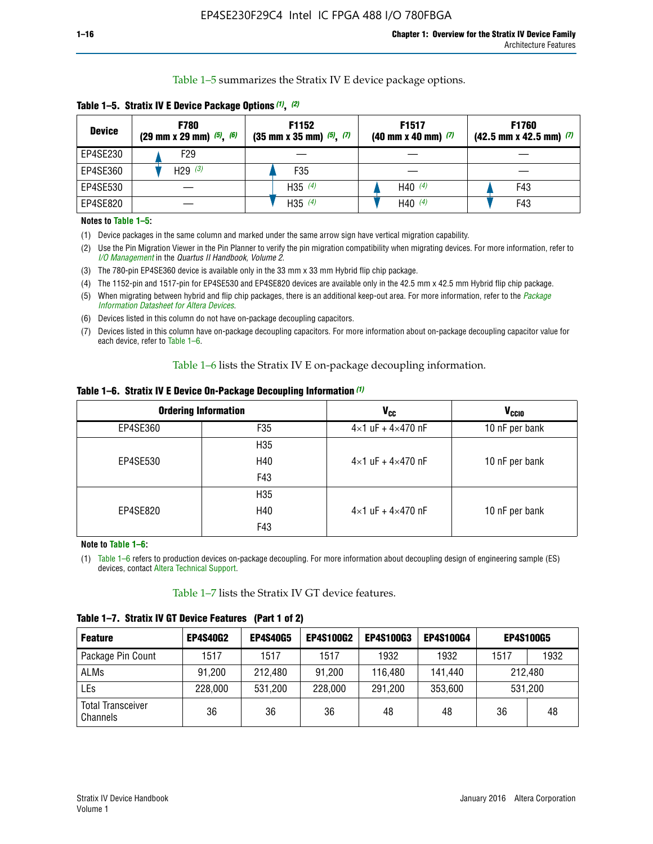Table 1–5 summarizes the Stratix IV E device package options.

| <b>Device</b> | <b>F780</b><br>$(29 \text{ mm} \times 29 \text{ mm})$ $(5)$ , $(6)$ | F1152<br>$(35 \text{ mm} \times 35 \text{ mm})$ $(5)$ $(7)$ | F <sub>1517</sub><br>$(40 \text{ mm} \times 40 \text{ mm})$ (7) | <b>F1760</b><br>$(42.5$ mm x 42.5 mm) $(7)$ |
|---------------|---------------------------------------------------------------------|-------------------------------------------------------------|-----------------------------------------------------------------|---------------------------------------------|
| EP4SE230      | F <sub>29</sub>                                                     |                                                             |                                                                 |                                             |
| EP4SE360      | H29 $(3)$                                                           | F35                                                         |                                                                 |                                             |
| EP4SE530      |                                                                     | H35 $(4)$                                                   | H40 $(4)$                                                       | F43                                         |
| EP4SE820      |                                                                     | H35 $(4)$                                                   | H40 $(4)$                                                       | F43                                         |

**Table 1–5. Stratix IV E Device Package Options** *(1)***,** *(2)*

#### **Notes to Table 1–5:**

(1) Device packages in the same column and marked under the same arrow sign have vertical migration capability.

(2) Use the Pin Migration Viewer in the Pin Planner to verify the pin migration compatibility when migrating devices. For more information, refer to *[I/O Management](http://www.altera.com/literature/hb/qts/qts_qii52013.pdf)* in the *Quartus II Handbook, Volume 2*.

(3) The 780-pin EP4SE360 device is available only in the 33 mm x 33 mm Hybrid flip chip package.

(4) The 1152-pin and 1517-pin for EP4SE530 and EP4SE820 devices are available only in the 42.5 mm x 42.5 mm Hybrid flip chip package.

(5) When migrating between hybrid and flip chip packages, there is an additional keep-out area. For more information, refer to the *[Package](http://www.altera.com/literature/ds/dspkg.pdf)  [Information Datasheet for Altera Devices](http://www.altera.com/literature/ds/dspkg.pdf)*.

(6) Devices listed in this column do not have on-package decoupling capacitors.

(7) Devices listed in this column have on-package decoupling capacitors. For more information about on-package decoupling capacitor value for each device, refer to Table 1–6.

Table 1–6 lists the Stratix IV E on-package decoupling information.

| Table 1–6. Stratix IV E Device On-Package Decoupling Information (1) |  |  |  |  |
|----------------------------------------------------------------------|--|--|--|--|
|----------------------------------------------------------------------|--|--|--|--|

|          | <b>Ordering Information</b> | <b>V<sub>cc</sub></b>               | <b>V<sub>CCIO</sub></b> |  |  |
|----------|-----------------------------|-------------------------------------|-------------------------|--|--|
| EP4SE360 | F35                         | $4 \times 1$ uF + $4 \times 470$ nF | 10 nF per bank          |  |  |
|          | H <sub>35</sub>             |                                     |                         |  |  |
| EP4SE530 | H40                         | $4 \times 1$ uF + $4 \times 470$ nF | 10 nF per bank          |  |  |
|          | F43                         |                                     |                         |  |  |
|          | H <sub>35</sub>             |                                     |                         |  |  |
| EP4SE820 | H40                         | $4 \times 1$ uF + $4 \times 470$ nF | 10 nF per bank          |  |  |
|          | F43                         |                                     |                         |  |  |

**Note to Table 1–6:**

(1) Table 1–6 refers to production devices on-package decoupling. For more information about decoupling design of engineering sample (ES) devices, contact [Altera Technical Support](http://mysupport.altera.com/eservice/login.asp).

Table 1–7 lists the Stratix IV GT device features.

| <b>Feature</b>                       | <b>EP4S40G2</b> | <b>EP4S40G5</b> | <b>EP4S100G2</b> | <b>EP4S100G3</b> | <b>EP4S100G4</b> |              | <b>EP4S100G5</b> |
|--------------------------------------|-----------------|-----------------|------------------|------------------|------------------|--------------|------------------|
| Package Pin Count                    | 1517            | 1517            | 1517             | 1932             | 1932             | 1517<br>1932 |                  |
| <b>ALMs</b>                          | 91,200          | 212,480         | 91,200           | 116,480          | 141,440          | 212,480      |                  |
| LEs                                  | 228,000         | 531,200         | 228,000          | 291,200          | 353,600          | 531,200      |                  |
| <b>Total Transceiver</b><br>Channels | 36              | 36              | 36               | 48               | 48               | 36           | 48               |

**Table 1–7. Stratix IV GT Device Features (Part 1 of 2)**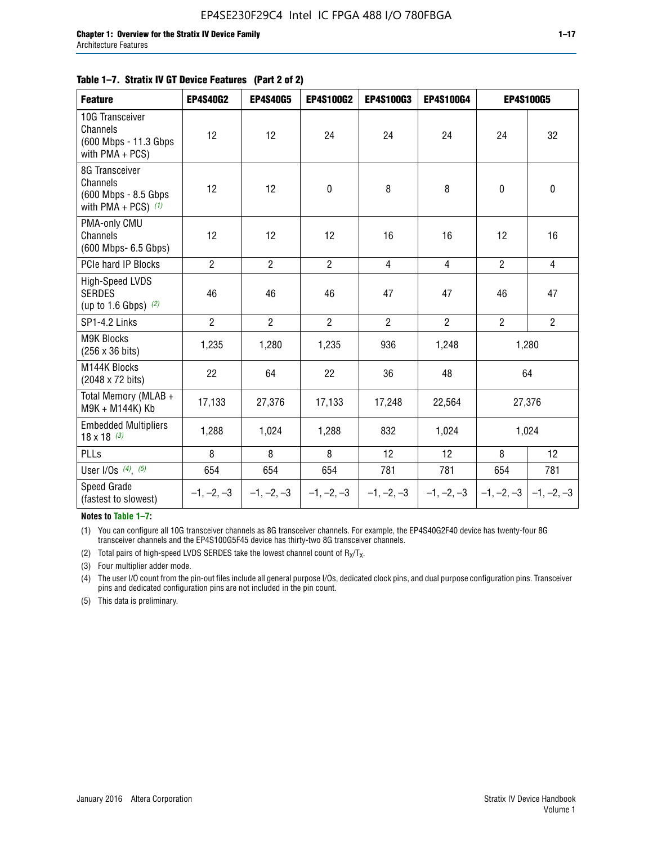#### **Table 1–7. Stratix IV GT Device Features (Part 2 of 2)**

| <b>Feature</b>                                                              | <b>EP4S40G2</b> | <b>EP4S40G5</b> | <b>EP4S100G2</b> | <b>EP4S100G3</b> | <b>EP4S100G4</b> |                           | <b>EP4S100G5</b> |
|-----------------------------------------------------------------------------|-----------------|-----------------|------------------|------------------|------------------|---------------------------|------------------|
| 10G Transceiver<br>Channels<br>(600 Mbps - 11.3 Gbps)<br>with $PMA + PCS$ ) | 12              | 12              | 24               | 24               | 24               | 24                        | 32               |
| 8G Transceiver<br>Channels<br>(600 Mbps - 8.5 Gbps<br>with PMA + PCS) $(1)$ | 12              | 12              | $\pmb{0}$        | 8                | 8                | $\mathbf 0$               | $\mathbf 0$      |
| PMA-only CMU<br>Channels<br>(600 Mbps- 6.5 Gbps)                            | 12              | 12              | 12               | 16               | 16               | 12                        | 16               |
| PCIe hard IP Blocks                                                         | $\overline{2}$  | $\overline{2}$  | $2^{\circ}$      | $\overline{4}$   | $\overline{4}$   | $\overline{2}$            | $\overline{4}$   |
| <b>High-Speed LVDS</b><br><b>SERDES</b><br>(up to 1.6 Gbps) $(2)$           | 46              | 46              | 46               | 47               | 47               | 46                        | 47               |
| SP1-4.2 Links                                                               | $\overline{2}$  | $\overline{2}$  | $\overline{2}$   | $\overline{2}$   | $\overline{2}$   | $\overline{2}$            | $\overline{2}$   |
| <b>M9K Blocks</b><br>(256 x 36 bits)                                        | 1,235           | 1,280           | 1,235            | 936              | 1,248            |                           | 1,280            |
| M144K Blocks<br>(2048 x 72 bits)                                            | 22              | 64              | 22               | 36               | 48               |                           | 64               |
| Total Memory (MLAB +<br>M9K + M144K) Kb                                     | 17,133          | 27,376          | 17,133           | 17,248           | 22,564           |                           | 27,376           |
| <b>Embedded Multipliers</b><br>$18 \times 18^{(3)}$                         | 1,288           | 1,024           | 1,288            | 832              | 1,024            | 1,024                     |                  |
| PLLs                                                                        | 8               | 8               | 8                | 12               | 12               | 8                         | 12               |
| User I/Os $(4)$ , $(5)$                                                     | 654             | 654             | 654              | 781              | 781              | 654                       | 781              |
| Speed Grade<br>(fastest to slowest)                                         | $-1, -2, -3$    | $-1, -2, -3$    | $-1, -2, -3$     | $-1, -2, -3$     | $-1, -2, -3$     | $ -1, -2, -3  -1, -2, -3$ |                  |

**Notes to Table 1–7:**

(1) You can configure all 10G transceiver channels as 8G transceiver channels. For example, the EP4S40G2F40 device has twenty-four 8G transceiver channels and the EP4S100G5F45 device has thirty-two 8G transceiver channels.

(2) Total pairs of high-speed LVDS SERDES take the lowest channel count of  $R_X/T_X$ .

(3) Four multiplier adder mode.

(4) The user I/O count from the pin-out files include all general purpose I/Os, dedicated clock pins, and dual purpose configuration pins. Transceiver pins and dedicated configuration pins are not included in the pin count.

(5) This data is preliminary.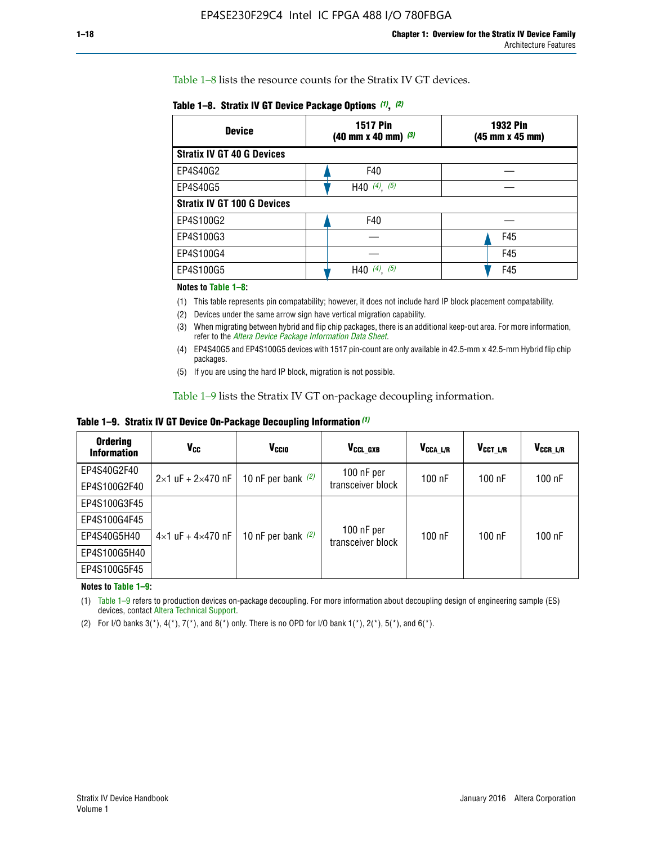Table 1–8 lists the resource counts for the Stratix IV GT devices.

| <b>Device</b>                      | <b>1517 Pin</b><br>$(40 \text{ mm} \times 40 \text{ mm})$ $(3)$ | <b>1932 Pin</b><br>(45 mm x 45 mm) |  |
|------------------------------------|-----------------------------------------------------------------|------------------------------------|--|
| <b>Stratix IV GT 40 G Devices</b>  |                                                                 |                                    |  |
| EP4S40G2                           | F40                                                             |                                    |  |
| EP4S40G5                           | H40 $(4)$ , $(5)$                                               |                                    |  |
| <b>Stratix IV GT 100 G Devices</b> |                                                                 |                                    |  |
| EP4S100G2                          | F40                                                             |                                    |  |
| EP4S100G3                          |                                                                 | F45                                |  |
| EP4S100G4                          |                                                                 | F45                                |  |
| EP4S100G5                          | $(4)$ , $(5)$<br>H40                                            | F45                                |  |

#### **Notes to Table 1–8:**

(1) This table represents pin compatability; however, it does not include hard IP block placement compatability.

- (2) Devices under the same arrow sign have vertical migration capability.
- (3) When migrating between hybrid and flip chip packages, there is an additional keep-out area. For more information, refer to the *[Altera Device Package Information Data Sheet](http://www.altera.com/literature/ds/dspkg.pdf)*.
- (4) EP4S40G5 and EP4S100G5 devices with 1517 pin-count are only available in 42.5-mm x 42.5-mm Hybrid flip chip packages.
- (5) If you are using the hard IP block, migration is not possible.

Table 1–9 lists the Stratix IV GT on-package decoupling information.

**Table 1–9. Stratix IV GT Device On-Package Decoupling Information** *(1)*

| <b>Ordering</b><br><b>Information</b> | Vcc                                 | <b>V<sub>CCIO</sub></b> | V <sub>CCL GXB</sub>              | V <sub>CCA_L/R</sub> | V <sub>CCT L/R</sub> | V <sub>CCR_L/R</sub> |
|---------------------------------------|-------------------------------------|-------------------------|-----------------------------------|----------------------|----------------------|----------------------|
| EP4S40G2F40                           | $2\times1$ uF + 2 $\times$ 470 nF   | 10 nF per bank $(2)$    | 100 $nF$ per<br>transceiver block | $100$ nF             | $100$ nF             | 100 nF               |
| EP4S100G2F40                          |                                     |                         |                                   |                      |                      |                      |
| EP4S100G3F45                          |                                     | 10 nF per bank $(2)$    | 100 nF per<br>transceiver block   | $100$ nF             | $100$ nF             | $100$ nF             |
| EP4S100G4F45                          | $4 \times 1$ uF + $4 \times 470$ nF |                         |                                   |                      |                      |                      |
| EP4S40G5H40                           |                                     |                         |                                   |                      |                      |                      |
| EP4S100G5H40                          |                                     |                         |                                   |                      |                      |                      |
| EP4S100G5F45                          |                                     |                         |                                   |                      |                      |                      |

**Notes to Table 1–9:**

(1) Table 1–9 refers to production devices on-package decoupling. For more information about decoupling design of engineering sample (ES) devices, contact [Altera Technical Support](http://mysupport.altera.com/eservice/login.asp).

(2) For I/O banks  $3(*)$ ,  $4(*)$ ,  $7(*)$ , and  $8(*)$  only. There is no OPD for I/O bank  $1(*)$ ,  $2(*)$ ,  $5(*)$ , and  $6(*)$ .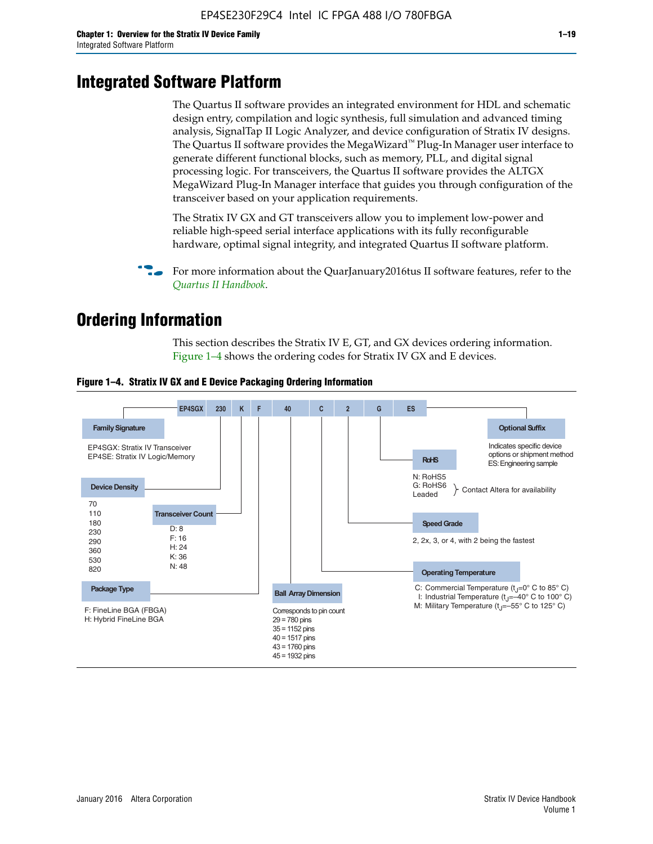# **Integrated Software Platform**

The Quartus II software provides an integrated environment for HDL and schematic design entry, compilation and logic synthesis, full simulation and advanced timing analysis, SignalTap II Logic Analyzer, and device configuration of Stratix IV designs. The Quartus II software provides the MegaWizard<sup> $M$ </sup> Plug-In Manager user interface to generate different functional blocks, such as memory, PLL, and digital signal processing logic. For transceivers, the Quartus II software provides the ALTGX MegaWizard Plug-In Manager interface that guides you through configuration of the transceiver based on your application requirements.

The Stratix IV GX and GT transceivers allow you to implement low-power and reliable high-speed serial interface applications with its fully reconfigurable hardware, optimal signal integrity, and integrated Quartus II software platform.

For more information about the QuarJanuary2016tus II software features, refer to the *[Quartus II Handbook](http://www.altera.com/literature/lit-qts.jsp)*.

# **Ordering Information**

This section describes the Stratix IV E, GT, and GX devices ordering information. Figure 1–4 shows the ordering codes for Stratix IV GX and E devices.



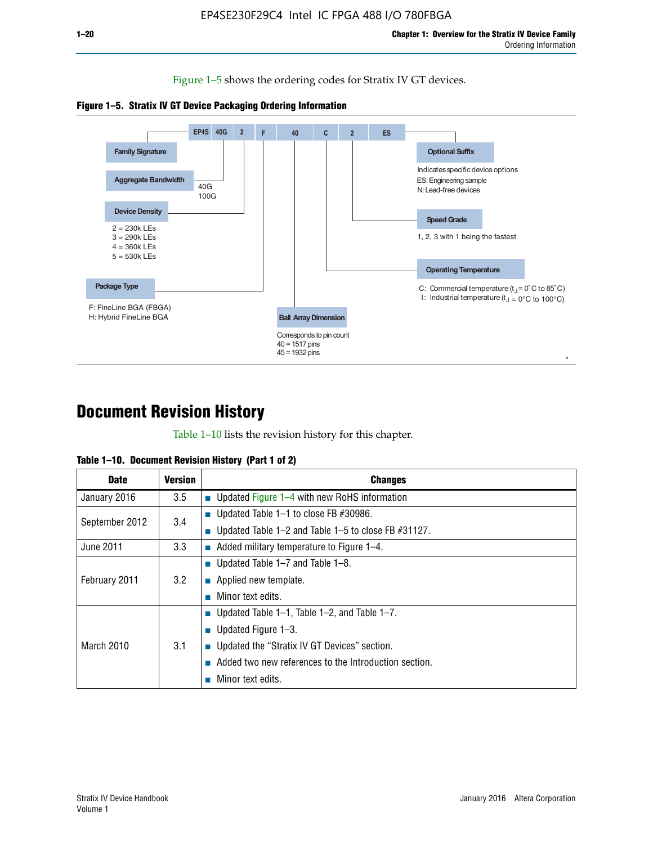Figure 1–5 shows the ordering codes for Stratix IV GT devices.





# **Document Revision History**

Table 1–10 lists the revision history for this chapter.

|  | Table 1–10. Document Revision History (Part 1 of 2) |  |  |
|--|-----------------------------------------------------|--|--|
|--|-----------------------------------------------------|--|--|

| <b>Date</b>       | <b>Version</b> | <b>Changes</b>                                        |
|-------------------|----------------|-------------------------------------------------------|
| January 2016      | 3.5            | ■ Updated Figure $1-4$ with new RoHS information      |
| September 2012    | 3.4            | ■ Updated Table 1–1 to close FB $#30986$ .            |
|                   |                | Updated Table 1–2 and Table 1–5 to close FB #31127.   |
| June 2011         | 3.3            | Added military temperature to Figure 1–4.             |
| February 2011     | 3.2            | ■ Updated Table 1–7 and Table 1–8.                    |
|                   |                | $\blacksquare$ Applied new template.                  |
|                   |                | Minor text edits.                                     |
| <b>March 2010</b> | 3.1            | <b>Updated Table 1–1, Table 1–2, and Table 1–7.</b>   |
|                   |                | ■ Updated Figure $1-3$ .                              |
|                   |                | Updated the "Stratix IV GT Devices" section.          |
|                   |                | Added two new references to the Introduction section. |
|                   |                | Minor text edits.                                     |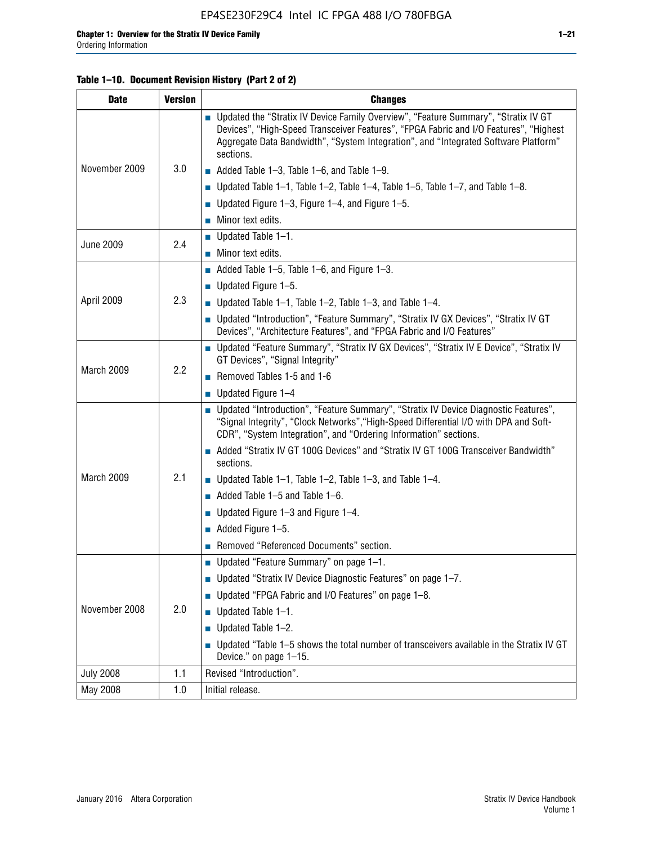## **Table 1–10. Document Revision History (Part 2 of 2)**

| <b>Date</b>      | <b>Version</b> | <b>Changes</b>                                                                                                                                                                                                                                                                    |  |
|------------------|----------------|-----------------------------------------------------------------------------------------------------------------------------------------------------------------------------------------------------------------------------------------------------------------------------------|--|
| November 2009    |                | ■ Updated the "Stratix IV Device Family Overview", "Feature Summary", "Stratix IV GT<br>Devices", "High-Speed Transceiver Features", "FPGA Fabric and I/O Features", "Highest<br>Aggregate Data Bandwidth", "System Integration", and "Integrated Software Platform"<br>sections. |  |
|                  | 3.0            | $\blacksquare$ Added Table 1-3, Table 1-6, and Table 1-9.                                                                                                                                                                                                                         |  |
|                  |                | $\blacksquare$ Updated Table 1-1, Table 1-2, Table 1-4, Table 1-5, Table 1-7, and Table 1-8.                                                                                                                                                                                      |  |
|                  |                | ■ Updated Figure 1–3, Figure 1–4, and Figure 1–5.                                                                                                                                                                                                                                 |  |
|                  |                | $\blacksquare$ Minor text edits.                                                                                                                                                                                                                                                  |  |
|                  | 2.4            | $\blacksquare$ Updated Table 1-1.                                                                                                                                                                                                                                                 |  |
| <b>June 2009</b> |                | $\blacksquare$ Minor text edits.                                                                                                                                                                                                                                                  |  |
|                  |                | $\blacksquare$ Added Table 1-5, Table 1-6, and Figure 1-3.                                                                                                                                                                                                                        |  |
|                  |                | <b>Updated Figure 1–5.</b>                                                                                                                                                                                                                                                        |  |
| April 2009       | 2.3            | Updated Table $1-1$ , Table $1-2$ , Table $1-3$ , and Table $1-4$ .                                                                                                                                                                                                               |  |
|                  |                | ■ Updated "Introduction", "Feature Summary", "Stratix IV GX Devices", "Stratix IV GT<br>Devices", "Architecture Features", and "FPGA Fabric and I/O Features"                                                                                                                     |  |
|                  | 2.2            | ■ Updated "Feature Summary", "Stratix IV GX Devices", "Stratix IV E Device", "Stratix IV<br>GT Devices", "Signal Integrity"                                                                                                                                                       |  |
| March 2009       |                | Removed Tables 1-5 and 1-6                                                                                                                                                                                                                                                        |  |
|                  |                | $\blacksquare$ Updated Figure 1-4                                                                                                                                                                                                                                                 |  |
|                  |                | ■ Updated "Introduction", "Feature Summary", "Stratix IV Device Diagnostic Features",<br>"Signal Integrity", "Clock Networks", "High-Speed Differential I/O with DPA and Soft-<br>CDR", "System Integration", and "Ordering Information" sections.                                |  |
|                  |                | Added "Stratix IV GT 100G Devices" and "Stratix IV GT 100G Transceiver Bandwidth"<br>sections.                                                                                                                                                                                    |  |
| March 2009       | 2.1            | <b>Updated Table 1–1, Table 1–2, Table 1–3, and Table 1–4.</b>                                                                                                                                                                                                                    |  |
|                  |                | $\blacksquare$ Added Table 1-5 and Table 1-6.                                                                                                                                                                                                                                     |  |
|                  |                | ■ Updated Figure $1-3$ and Figure $1-4$ .                                                                                                                                                                                                                                         |  |
|                  |                | $\blacksquare$ Added Figure 1-5.                                                                                                                                                                                                                                                  |  |
|                  |                | Removed "Referenced Documents" section.                                                                                                                                                                                                                                           |  |
| November 2008    |                | ■ Updated "Feature Summary" on page 1-1.                                                                                                                                                                                                                                          |  |
|                  |                | ■ Updated "Stratix IV Device Diagnostic Features" on page 1-7.                                                                                                                                                                                                                    |  |
|                  |                | Updated "FPGA Fabric and I/O Features" on page 1-8.                                                                                                                                                                                                                               |  |
|                  | 2.0            | Updated Table 1-1.                                                                                                                                                                                                                                                                |  |
|                  |                | Updated Table 1-2.                                                                                                                                                                                                                                                                |  |
|                  |                | Updated "Table 1-5 shows the total number of transceivers available in the Stratix IV GT<br>Device." on page 1-15.                                                                                                                                                                |  |
| <b>July 2008</b> | 1.1            | Revised "Introduction".                                                                                                                                                                                                                                                           |  |
| May 2008         | 1.0            | Initial release.                                                                                                                                                                                                                                                                  |  |